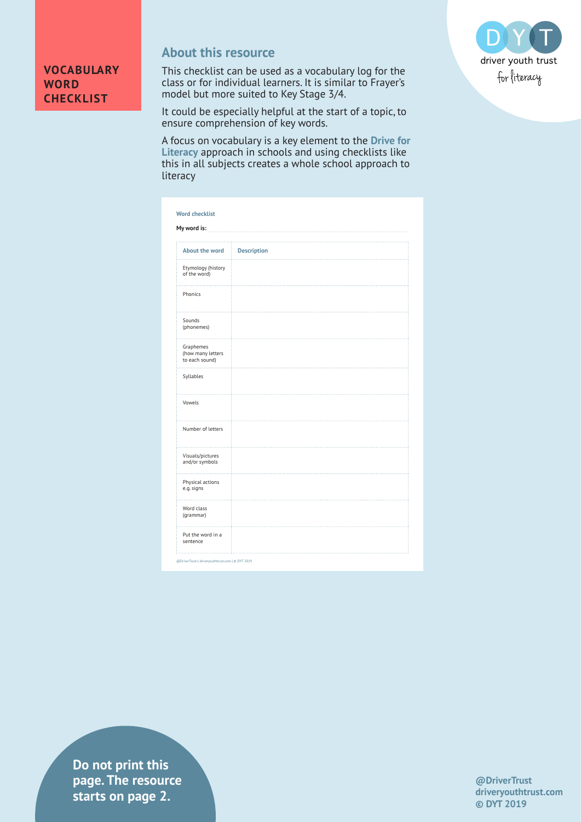

## **About this resource**

This checklist can be used as a vocabulary log for the class or for individual learners. It is similar to Frayer's model but more suited to Key Stage 3/4.



It could be especially helpful at the start of a topic, to ensure comprehension of key words.

A focus on vocabulary is a key element to the **[Drive for](https://www.driveryouthtrust.com/drive-for-literacy/)  [Literacy](https://www.driveryouthtrust.com/drive-for-literacy/)** approach in schools and using checklists like this in all subjects creates a whole school approach to literacy

| My word is:                                      |                    |  |
|--------------------------------------------------|--------------------|--|
| About the word                                   | <b>Description</b> |  |
| .<br>Etymology (history<br>of the word)          |                    |  |
| Phonics                                          |                    |  |
| Sounds<br>(phonemes)                             |                    |  |
| Graphemes<br>(how many letters<br>to each sound) |                    |  |
| Syllables                                        |                    |  |
| Vowels                                           |                    |  |
| Number of letters                                |                    |  |
| Visuals/pictures<br>and/or symbols               |                    |  |
| Physical actions<br>e.g. signs                   |                    |  |
| Word class<br>(grammar)                          |                    |  |
| Put the word in a<br>sentence                    |                    |  |

@DriverTrust | driveryouthtrust.com | © DYT 2019

**Do not print this page. The resource starts on page 2.**

**@DriverTrust driveryouthtrust.com © DYT 2019**